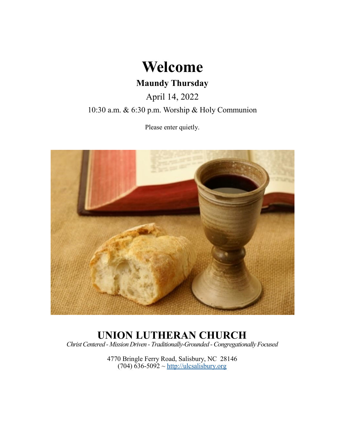

April 14, 2022

10:30 a.m. & 6:30 p.m. Worship & Holy Communion

Please enter quietly.



# **UNION LUTHERAN CHURCH**

*Christ Centered - Mission Driven - Traditionally-Grounded -Congregationally Focused*

4770 Bringle Ferry Road, Salisbury, NC 28146  $(704)$  636-5092 ~<http://ulcsalisbury.org>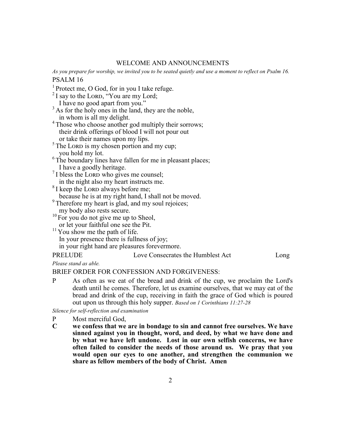# WELCOME AND ANNOUNCEMENTS

*As you prepare for worship, we invited you to be seated quietly and use a moment to reflect on Psalm 16.* PSALM 16

<sup>1</sup> Protect me, O God, for in you I take refuge.

- $2$  I say to the LORD, "You are my Lord; I have no good apart from you."
- $3$  As for the holy ones in the land, they are the noble, in whom is all my delight.
- <sup>4</sup> Those who choose another god multiply their sorrows; their drink offerings of blood I will not pour out or take their names upon my lips.
- <sup>5</sup> The LORD is my chosen portion and my cup;
- you hold my lot.
- $6$ <sup>6</sup> The boundary lines have fallen for me in pleasant places; I have a goodly heritage.
- $7$  I bless the LORD who gives me counsel; in the night also my heart instructs me.
- <sup>8</sup> I keep the LORD always before me;

because he is at my right hand, I shall not be moved.

- <sup>9</sup> Therefore my heart is glad, and my soul rejoices;
- my body also rests secure.
- $10$  For you do not give me up to Sheol, or let your faithful one see the Pit.
- $11$  You show me the path of life. In your presence there is fullness of joy; in your right hand are pleasures forevermore.

# PRELUDE Love Consecrates the Humblest Act Long

*Please stand as able.*

# BRIEF ORDER FOR CONFESSION AND FORGIVENESS:

P As often as we eat of the bread and drink of the cup, we proclaim the Lord's death until he comes. Therefore, let us examine ourselves, that we may eat of the bread and drink of the cup, receiving in faith the grace of God which is poured out upon us through this holy supper. *Based on 1 Corinthians 11:27-28*

*Silence for self-reflection and examination*

- P Most merciful God,
- **C we confess that we are in bondage to sin and cannot free ourselves. We have sinned against you in thought, word, and deed, by what we have done and by what we have left undone. Lost in our own selfish concerns, we have often failed to consider the needs of those around us. We pray that you would open our eyes to one another, and strengthen the communion we share as fellow members of the body of Christ. Amen**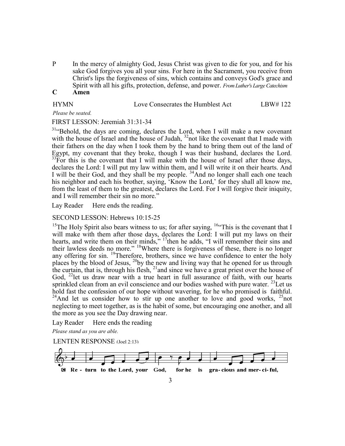P In the mercy of almighty God, Jesus Christ was given to die for you, and for his sake God forgives you all your sins. For here in the Sacrament, you receive from Christ's lips the forgiveness of sins, which contains and conveys God's grace and Spirit with all his gifts, protection, defense, and power. *From Luther's Large Catechism*

# **C Amen**

| <b>HYMN</b> | Love Consecrates the Humblest Act | LBW#122 |
|-------------|-----------------------------------|---------|
|             |                                   |         |

*Please be seated.*

FIRST LESSON: Jeremiah 31:31-34

 $31$ "Behold, the days are coming, declares the Lord, when I will make a new covenant with the house of Israel and the house of Judah,  $32$  not like the covenant that I made with their fathers on the day when I took them by the hand to bring them out of the land of Egypt, my covenant that they broke, though I was their husband, declares the Lord.  $33$ For this is the covenant that I will make with the house of Israel after those days, declares the Lord: I will put my law within them, and I will write it on their hearts. And I will be their God, and they shall be my people. <sup>34</sup>And no longer shall each one teach his neighbor and each his brother, saying, 'Know the Lord,' for they shall all know me, from the least of them to the greatest, declares the Lord. For I will forgive their iniquity, and I will remember their sin no more."

Lay Reader Here ends the reading.

SECOND LESSON: Hebrews 10:15-25

<sup>15</sup>The Holy Spirit also bears witness to us; for after saying,  $164$ This is the covenant that I will make with them after those days, declares the Lord: I will put my laws on their hearts, and write them on their minds," <sup>17</sup>then he adds, "I will remember their sins and their lawless deeds no more." <sup>18</sup>Where there is forgiveness of these, there is no longer any offering for sin. <sup>19</sup>Therefore, brothers, since we have confidence to enter the holy places by the blood of Jesus,  $^{20}$ by the new and living way that he opened for us through the curtain, that is, through his flesh, <sup>21</sup> and since we have a great priest over the house of God,  $^{22}$ let us draw near with a true heart in full assurance of faith, with our hearts sprinkled clean from an evil conscience and our bodies washed with pure water.  $^{23}$  Let us hold fast the confession of our hope without wavering, for he who promised is faithful. <sup>24</sup>And let us consider how to stir up one another to love and good works,  $^{25}$ not neglecting to meet together, as is the habit of some, but encouraging one another, and all the more as you see the Day drawing near.

Lay Reader Here ends the reading

*Please stand as you are able.*

LENTEN RESPONSE (Joel 2:13)

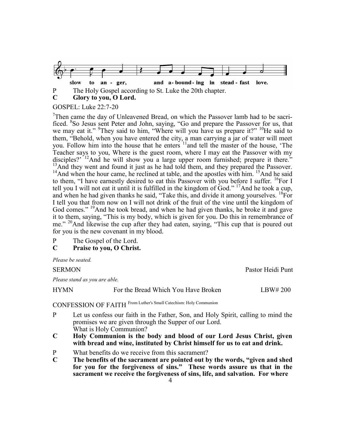

# **C Glory to you, O Lord.**

# GOSPEL: Luke 22:7-20

<sup>7</sup>Then came the day of Unleavened Bread, on which the Passover lamb had to be sacrificed. <sup>8</sup>So Jesus sent Peter and John, saying, "Go and prepare the Passover for us, that we may eat it." <sup>9</sup>They said to him, "Where will you have us prepare it?" <sup>10</sup>He said to them, "Behold, when you have entered the city, a man carrying a jar of water will meet you. Follow him into the house that he enters <sup>11</sup> and tell the master of the house, 'The Teacher says to you, Where is the guest room, where I may eat the Passover with my disciples?' <sup>12</sup>And he will show you a large upper room furnished; prepare it there."  $13$ And they went and found it just as he had told them, and they prepared the Passover.  $14$ And when the hour came, he reclined at table, and the apostles with him.  $15$ And he said to them, "I have earnestly desired to eat this Passover with you before I suffer. <sup>16</sup>For I tell you I will not eat it until it is fulfilled in the kingdom of God."  $^{17}$ And he took a cup, and when he had given thanks he said, "Take this, and divide it among yourselves.  ${}^{18}$ For I tell you that from now on I will not drink of the fruit of the vine until the kingdom of God comes." <sup>19</sup>And he took bread, and when he had given thanks, he broke it and gave it to them, saying, "This is my body, which is given for you. Do this in remembrance of me." <sup>20</sup>And likewise the cup after they had eaten, saying, "This cup that is poured out for you is the new covenant in my blood.

- P The Gospel of the Lord.<br>C Praise to you, O Christ
- **C Praise to you, O Christ.**

*Please be seated.*

SERMON Pastor Heidi Punt

*Please stand as you are able.*

HYMN For the Bread Which You Have Broken LBW# 200

CONFESSION OF FAITH From Luther's Small Catechism: Holy Communion

- P Let us confess our faith in the Father, Son, and Holy Spirit, calling to mind the promises we are given through the Supper of our Lord. What is Holy Communion?
- **C Holy Communion is the body and blood of our Lord Jesus Christ, given with bread and wine, instituted by Christ himself for us to eat and drink.**
- P What benefits do we receive from this sacrament?
- **C The benefits of the sacrament are pointed out by the words, "given and shed for you for the forgiveness of sins." These words assure us that in the sacrament we receive the forgiveness of sins, life, and salvation. For where**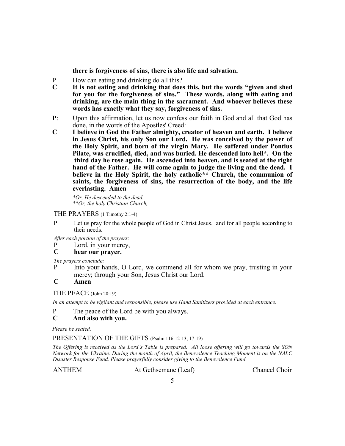**there is forgiveness of sins, there is also life and salvation.**

- P How can eating and drinking do all this?<br>C It is not eating and drinking that does
- **C It is not eating and drinking that does this, but the words "given and shed for you for the forgiveness of sins." These words, along with eating and drinking, are the main thing in the sacrament. And whoever believes these words has exactly what they say, forgiveness of sins.**
- **P**: Upon this affirmation, let us now confess our faith in God and all that God has done, in the words of the Apostles' Creed:
- **C I believe in God the Father almighty, creator of heaven and earth. I believe in Jesus Christ, his only Son our Lord. He was conceived by the power of the Holy Spirit, and born of the virgin Mary. He suffered under Pontius Pilate, was crucified, died, and was buried. He descended into hell\*. On the third day he rose again. He ascended into heaven, and is seated at the right hand of the Father. He will come again to judge the living and the dead. I believe in the Holy Spirit, the holy catholic\*\* Church, the communion of saints, the forgiveness of sins, the resurrection of the body, and the life everlasting. Amen**

*\*Or, He descended to the dead. \*\*Or, the holy Christian Church,*

### THE PRAYERS (1 Timothy 2:1-4)

P Let us pray for the whole people of God in Christ Jesus, and for all people according to their needs.

*After each portion of the prayers:*

P Lord, in your mercy,<br>C hear our praver.

# **C hear our prayer.**

*The prayers conclude:* 

P Into your hands, O Lord, we commend all for whom we pray, trusting in your mercy; through your Son, Jesus Christ our Lord.

# **C Amen**

THE PEACE (John 20:19)

*In an attempt to be vigilant and responsible, please use Hand Sanitizers provided at each entrance.* 

P The peace of the Lord be with you always.

# **C And also with you.**

*Please be seated.*

### PRESENTATION OF THE GIFTS (Psalm 116:12-13, 17-19)

*The Offering is received as the Lord's Table is prepared. All loose offering will go towards the SON Network for the Ukraine. During the month of April, the Benevolence Teaching Moment is on the NALC Disaster Response Fund. Please prayerfully consider giving to the Benevolence Fund.*

ANTHEM At Gethsemane (Leaf) Chancel Choir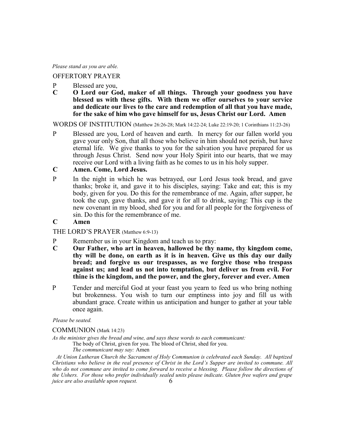*Please stand as you are able.*

# OFFERTORY PRAYER

- P Blessed are you,
- **C O Lord our God, maker of all things. Through your goodness you have blessed us with these gifts. With them we offer ourselves to your service and dedicate our lives to the care and redemption of all that you have made, for the sake of him who gave himself for us, Jesus Christ our Lord. Amen**

WORDS OF INSTITUTION (Matthew 26:26-28; Mark 14:22-24; Luke 22:19-20; 1 Corinthians 11:23-26)

P Blessed are you, Lord of heaven and earth. In mercy for our fallen world you gave your only Son, that all those who believe in him should not perish, but have eternal life. We give thanks to you for the salvation you have prepared for us through Jesus Christ. Send now your Holy Spirit into our hearts, that we may receive our Lord with a living faith as he comes to us in his holy supper.

# **C Amen. Come, Lord Jesus.**

- P In the night in which he was betrayed, our Lord Jesus took bread, and gave thanks; broke it, and gave it to his disciples, saying: Take and eat; this is my body, given for you. Do this for the remembrance of me. Again, after supper, he took the cup, gave thanks, and gave it for all to drink, saying: This cup is the new covenant in my blood, shed for you and for all people for the forgiveness of sin. Do this for the remembrance of me.
- **C Amen**

# THE LORD'S PRAYER (Matthew 6:9-13)

- P Remember us in your Kingdom and teach us to pray:
- **C Our Father, who art in heaven, hallowed be thy name, thy kingdom come, thy will be done, on earth as it is in heaven. Give us this day our daily bread; and forgive us our trespasses, as we forgive those who trespass against us; and lead us not into temptation, but deliver us from evil. For thine is the kingdom, and the power, and the glory, forever and ever. Amen**
- P Tender and merciful God at your feast you yearn to feed us who bring nothing but brokenness. You wish to turn our emptiness into joy and fill us with abundant grace. Create within us anticipation and hunger to gather at your table once again.

*Please be seated.*

COMMUNION (Mark 14:23)

*As the minister gives the bread and wine, and says these words to each communicant:*

The body of Christ, given for you. The blood of Christ, shed for you.

*The communicant may say:* Amen

6  *At Union Lutheran Church the Sacrament of Holy Communion is celebrated each Sunday. All baptized Christians who believe in the real presence of Christ in the Lord's Supper are invited to commune. All who do not commune are invited to come forward to receive a blessing. Please follow the directions of the Ushers. For those who prefer individually sealed units please indicate. Gluten free wafers and grape juice are also available upon request.*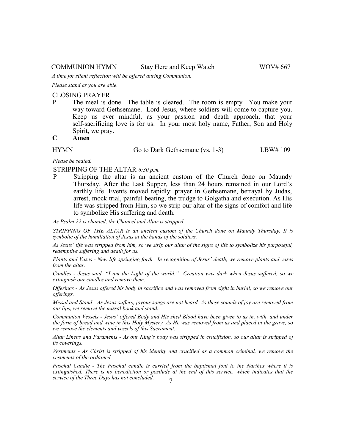#### COMMUNION HYMN Stay Here and Keep Watch WOV# 667

*A time for silent reflection will be offered during Communion.*

*Please stand as you are able.* 

#### CLOSING PRAYER

P The meal is done. The table is cleared. The room is empty. You make your way toward Gethsemane. Lord Jesus, where soldiers will come to capture you. Keep us ever mindful, as your passion and death approach, that your self-sacrificing love is for us. In your most holy name, Father, Son and Holy Spirit, we pray.

# **C Amen**

HYMN Go to Dark Gethsemane (vs. 1-3) LBW# 109

*Please be seated.*

#### STRIPPING OF THE ALTAR *6:30 p.m.*

P Stripping the altar is an ancient custom of the Church done on Maundy Thursday. After the Last Supper, less than 24 hours remained in our Lord's earthly life. Events moved rapidly: prayer in Gethsemane, betrayal by Judas, arrest, mock trial, painful beating, the trudge to Golgatha and execution. As His life was stripped from Him, so we strip our altar of the signs of comfort and life to symbolize His suffering and death.

*As Psalm 22 is chanted, the Chancel and Altar is stripped.*

*STRIPPING OF THE ALTAR is an ancient custom of the Church done on Maundy Thursday. It is symbolic of the humiliation of Jesus at the hands of the soldiers.*

*As Jesus' life was stripped from him, so we strip our altar of the signs of life to symbolize his purposeful, redemptive suffering and death for us.*

*Plants and Vases - New life springing forth. In recognition of Jesus' death, we remove plants and vases from the altar.*

*Candles - Jesus said, "I am the Light of the world." Creation was dark when Jesus suffered, so we extinguish our candles and remove them.*

*Offerings - As Jesus offered his body in sacrifice and was removed from sight in burial, so we remove our offerings.*

*Missal and Stand - As Jesus suffers, joyous songs are not heard. As these sounds of joy are removed from our lips, we remove the missal book and stand.*

*Communion Vessels - Jesus' offered Body and His shed Blood have been given to us in, with, and under the form of bread and wine in this Holy Mystery. As He was removed from us and placed in the grave, so we remove the elements and vessels of this Sacrament.*

*Altar Linens and Paraments - As our King's body was stripped in crucifixion, so our altar is stripped of its coverings.*

*Vestments - As Christ is stripped of his identity and crucified as a common criminal, we remove the vestments of the ordained.*

7 *Paschal Candle - The Paschal candle is carried from the baptismal font to the Narthex where it is extinguished. There is no benediction or postlude at the end of this service, which indicates that the service of the Three Days has not concluded.*